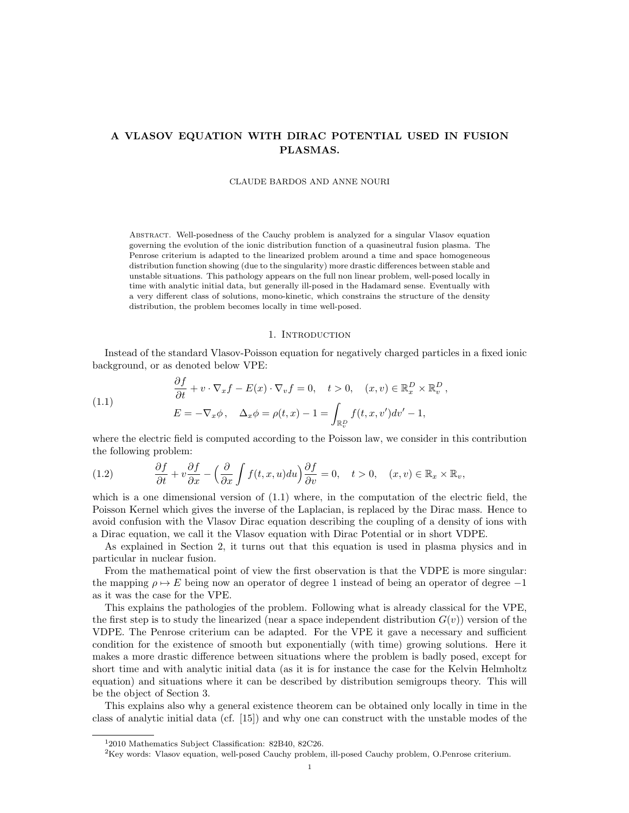# A VLASOV EQUATION WITH DIRAC POTENTIAL USED IN FUSION PLASMAS.

#### CLAUDE BARDOS AND ANNE NOURI

Abstract. Well-posedness of the Cauchy problem is analyzed for a singular Vlasov equation governing the evolution of the ionic distribution function of a quasineutral fusion plasma. The Penrose criterium is adapted to the linearized problem around a time and space homogeneous distribution function showing (due to the singularity) more drastic differences between stable and unstable situations. This pathology appears on the full non linear problem, well-posed locally in time with analytic initial data, but generally ill-posed in the Hadamard sense. Eventually with a very different class of solutions, mono-kinetic, which constrains the structure of the density distribution, the problem becomes locally in time well-posed.

#### 1. INTRODUCTION

Instead of the standard Vlasov-Poisson equation for negatively charged particles in a fixed ionic background, or as denoted below VPE:

(1.1) 
$$
\begin{aligned}\n\frac{\partial f}{\partial t} + v \cdot \nabla_x f - E(x) \cdot \nabla_v f &= 0, \quad t > 0, \quad (x, v) \in \mathbb{R}_x^D \times \mathbb{R}_v^D, \\
E &= -\nabla_x \phi, \quad \Delta_x \phi = \rho(t, x) - 1 = \int_{\mathbb{R}_v^D} f(t, x, v') dv' - 1,\n\end{aligned}
$$

where the electric field is computed according to the Poisson law, we consider in this contribution the following problem:

(1.2) 
$$
\frac{\partial f}{\partial t} + v \frac{\partial f}{\partial x} - \left(\frac{\partial}{\partial x} \int f(t, x, u) du\right) \frac{\partial f}{\partial v} = 0, \quad t > 0, \quad (x, v) \in \mathbb{R}_x \times \mathbb{R}_v,
$$

which is a one dimensional version of  $(1.1)$  where, in the computation of the electric field, the Poisson Kernel which gives the inverse of the Laplacian, is replaced by the Dirac mass. Hence to avoid confusion with the Vlasov Dirac equation describing the coupling of a density of ions with a Dirac equation, we call it the Vlasov equation with Dirac Potential or in short VDPE.

As explained in Section 2, it turns out that this equation is used in plasma physics and in particular in nuclear fusion.

From the mathematical point of view the first observation is that the VDPE is more singular: the mapping  $\rho \mapsto E$  being now an operator of degree 1 instead of being an operator of degree  $-1$ as it was the case for the VPE.

This explains the pathologies of the problem. Following what is already classical for the VPE, the first step is to study the linearized (near a space independent distribution  $G(v)$ ) version of the VDPE. The Penrose criterium can be adapted. For the VPE it gave a necessary and sufficient condition for the existence of smooth but exponentially (with time) growing solutions. Here it makes a more drastic difference between situations where the problem is badly posed, except for short time and with analytic initial data (as it is for instance the case for the Kelvin Helmholtz equation) and situations where it can be described by distribution semigroups theory. This will be the object of Section 3.

This explains also why a general existence theorem can be obtained only locally in time in the class of analytic initial data (cf. [15]) and why one can construct with the unstable modes of the

<sup>1</sup>2010 Mathematics Subject Classification: 82B40, 82C26.

 ${}^{2}$ Key words: Vlasov equation, well-posed Cauchy problem, ill-posed Cauchy problem, O.Penrose criterium.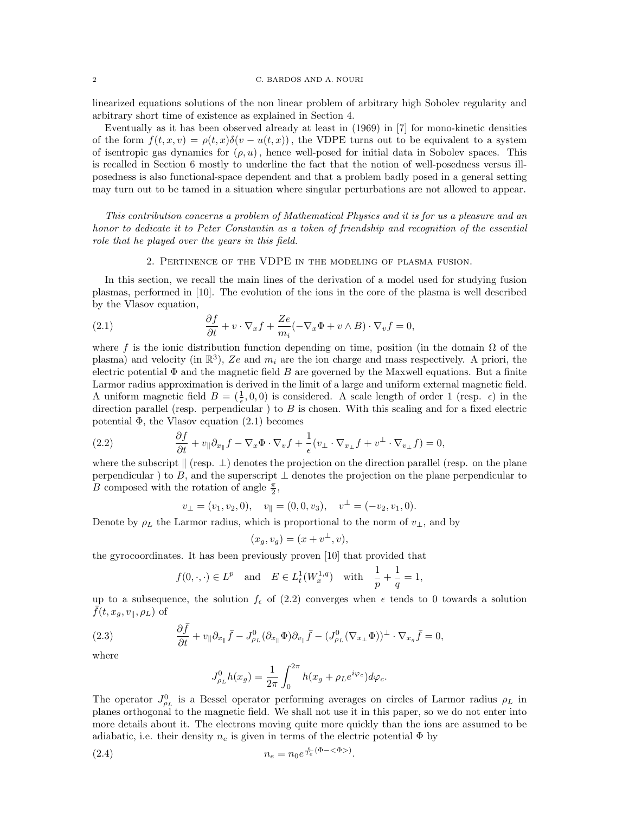linearized equations solutions of the non linear problem of arbitrary high Sobolev regularity and arbitrary short time of existence as explained in Section 4.

Eventually as it has been observed already at least in (1969) in [7] for mono-kinetic densities of the form  $f(t, x, v) = \rho(t, x)\delta(v - u(t, x))$ , the VDPE turns out to be equivalent to a system of isentropic gas dynamics for  $(\rho, u)$ , hence well-posed for initial data in Sobolev spaces. This is recalled in Section 6 mostly to underline the fact that the notion of well-posedness versus illposedness is also functional-space dependent and that a problem badly posed in a general setting may turn out to be tamed in a situation where singular perturbations are not allowed to appear.

This contribution concerns a problem of Mathematical Physics and it is for us a pleasure and an honor to dedicate it to Peter Constantin as a token of friendship and recognition of the essential role that he played over the years in this field.

## 2. Pertinence of the VDPE in the modeling of plasma fusion.

In this section, we recall the main lines of the derivation of a model used for studying fusion plasmas, performed in [10]. The evolution of the ions in the core of the plasma is well described by the Vlasov equation,

(2.1) 
$$
\frac{\partial f}{\partial t} + v \cdot \nabla_x f + \frac{Ze}{m_i} (-\nabla_x \Phi + v \wedge B) \cdot \nabla_v f = 0,
$$

where f is the ionic distribution function depending on time, position (in the domain  $\Omega$  of the plasma) and velocity (in  $\mathbb{R}^3$ ), Ze and  $m_i$  are the ion charge and mass respectively. A priori, the electric potential  $\Phi$  and the magnetic field  $B$  are governed by the Maxwell equations. But a finite Larmor radius approximation is derived in the limit of a large and uniform external magnetic field. A uniform magnetic field  $B = (\frac{1}{\epsilon}, 0, 0)$  is considered. A scale length of order 1 (resp.  $\epsilon$ ) in the direction parallel (resp. perpendicular) to  $B$  is chosen. With this scaling and for a fixed electric potential  $\Phi$ , the Vlasov equation  $(2.1)$  becomes

(2.2) 
$$
\frac{\partial f}{\partial t} + v_{\parallel} \partial_{x_{\parallel}} f - \nabla_x \Phi \cdot \nabla_v f + \frac{1}{\epsilon} (v_{\perp} \cdot \nabla_{x_{\perp}} f + v^{\perp} \cdot \nabla_{v_{\perp}} f) = 0,
$$

where the subscript  $\parallel$  (resp.  $\perp$ ) denotes the projection on the direction parallel (resp. on the plane perpendicular) to B, and the superscript  $\perp$  denotes the projection on the plane perpendicular to B composed with the rotation of angle  $\frac{\pi}{2}$ ,

$$
v_{\perp} = (v_1, v_2, 0), \quad v_{\parallel} = (0, 0, v_3), \quad v^{\perp} = (-v_2, v_1, 0).
$$

Denote by  $\rho_L$  the Larmor radius, which is proportional to the norm of  $v_{\perp}$ , and by

$$
(x_g, v_g) = (x + v^{\perp}, v),
$$

the gyrocoordinates. It has been previously proven [10] that provided that

$$
f(0,\cdot,\cdot) \in L^p
$$
 and  $E \in L^1_t(W^{1,q}_x)$  with  $\frac{1}{p} + \frac{1}{q} = 1$ ,

up to a subsequence, the solution  $f_{\epsilon}$  of (2.2) converges when  $\epsilon$  tends to 0 towards a solution  $\bar{f}(t, x_q, v_{\parallel}, \rho_L)$  of

(2.3) 
$$
\frac{\partial \bar{f}}{\partial t} + v_{\parallel} \partial_{x_{\parallel}} \bar{f} - J_{\rho_L}^0 (\partial_{x_{\parallel}} \Phi) \partial_{v_{\parallel}} \bar{f} - (J_{\rho_L}^0 (\nabla_{x_{\perp}} \Phi))^\perp \cdot \nabla_{x_g} \bar{f} = 0,
$$

where

$$
J_{\rho_L}^0 h(x_g) = \frac{1}{2\pi} \int_0^{2\pi} h(x_g + \rho_L e^{i\varphi_c}) d\varphi_c.
$$

The operator  $J_{\rho_L}^0$  is a Bessel operator performing averages on circles of Larmor radius  $\rho_L$  in planes orthogonal to the magnetic field. We shall not use it in this paper, so we do not enter into more details about it. The electrons moving quite more quickly than the ions are assumed to be adiabatic, i.e. their density  $n_e$  is given in terms of the electric potential  $\Phi$  by

(2.4) 
$$
n_e = n_0 e^{\frac{e}{T_e}(\Phi - \langle \Phi \rangle)}.
$$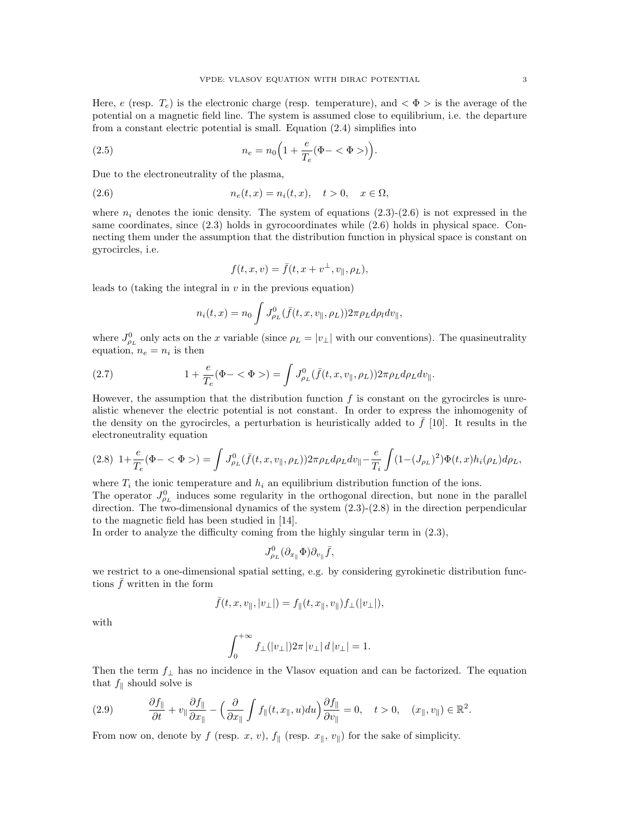Here, e (resp.  $T_e$ ) is the electronic charge (resp. temperature), and  $\langle \Phi \rangle$  is the average of the potential on a magnetic field line. The system is assumed close to equilibrium, i.e. the departure from a constant electric potential is small. Equation (2.4) simplifies into

(2.5) 
$$
n_e = n_0 \left( 1 + \frac{e}{T_e} (\Phi - \langle \Phi \rangle) \right).
$$

Due to the electroneutrality of the plasma,

$$
(2.6) \t\t n_e(t,x) = n_i(t,x), \quad t > 0, \quad x \in \Omega,
$$

where  $n_i$  denotes the ionic density. The system of equations  $(2.3)-(2.6)$  is not expressed in the same coordinates, since (2.3) holds in gyrocoordinates while (2.6) holds in physical space. Connecting them under the assumption that the distribution function in physical space is constant on gyrocircles, i.e.

$$
f(t, x, v) = \bar{f}(t, x + v^{\perp}, v_{\parallel}, \rho_L),
$$

leads to (taking the integral in  $v$  in the previous equation)

$$
n_i(t,x) = n_0 \int J_{\rho_L}^0(\bar{f}(t,x,v_{\parallel},\rho_L)) 2\pi \rho_L d\rho_l dv_{\parallel},
$$

where  $J_{\rho_L}^0$  only acts on the x variable (since  $\rho_L = |v_\perp|$  with our conventions). The quasineutrality equation,  $n_e = n_i$  is then

(2.7) 
$$
1 + \frac{e}{T_e}(\Phi - \langle \Phi \rangle) = \int J_{\rho_L}^0(\bar{f}(t, x, v_{\parallel}, \rho_L)) 2\pi \rho_L d\rho_L dv_{\parallel}.
$$

However, the assumption that the distribution function  $f$  is constant on the gyrocircles is unrealistic whenever the electric potential is not constant. In order to express the inhomogenity of the density on the gyrocircles, a perturbation is heuristically added to  $f$  [10]. It results in the electroneutrality equation

$$
(2.8)\ \ 1+\frac{e}{T_e}(\Phi-<\Phi>)=\int J^0_{\rho_L}(\bar{f}(t,x,v_{\parallel},\rho_L))2\pi\rho_L d\rho_L dv_{\parallel}-\frac{e}{T_i}\int (1-(J_{\rho_L})^2)\Phi(t,x)h_i(\rho_L)d\rho_L,
$$

where  $T_i$  the ionic temperature and  $h_i$  an equilibrium distribution function of the ions.

The operator  $J_{\rho_L}^0$  induces some regularity in the orthogonal direction, but none in the parallel direction. The two-dimensional dynamics of the system  $(2.3)-(2.8)$  in the direction perpendicular to the magnetic field has been studied in [14].

In order to analyze the difficulty coming from the highly singular term in (2.3),

$$
J_{\rho_L}^0(\partial_{x_{\parallel}}\Phi)\partial_{v_{\parallel}}\bar{f},
$$

we restrict to a one-dimensional spatial setting, e.g. by considering gyrokinetic distribution functions  $\bar{f}$  written in the form

$$
\bar{f}(t,x,v_{\parallel},|v_{\perp}|)=f_{\parallel}(t,x_{\parallel},v_{\parallel})f_{\perp}(|v_{\perp}|),
$$

with

$$
\int_0^{+\infty} f_\perp(|v_\perp|) 2\pi \, |v_\perp| \, d\, |v_\perp| = 1.
$$

Then the term  $f_{\perp}$  has no incidence in the Vlasov equation and can be factorized. The equation that  $f_{\parallel}$  should solve is

$$
(2.9) \t \t \frac{\partial f_{\parallel}}{\partial t} + v_{\parallel} \frac{\partial f_{\parallel}}{\partial x_{\parallel}} - \left(\frac{\partial}{\partial x_{\parallel}} \int f_{\parallel}(t, x_{\parallel}, u) du\right) \frac{\partial f_{\parallel}}{\partial v_{\parallel}} = 0, \quad t > 0, \quad (x_{\parallel}, v_{\parallel}) \in \mathbb{R}^2.
$$

From now on, denote by f (resp. x, v),  $f_{\parallel}$  (resp.  $x_{\parallel}$ ,  $v_{\parallel}$ ) for the sake of simplicity.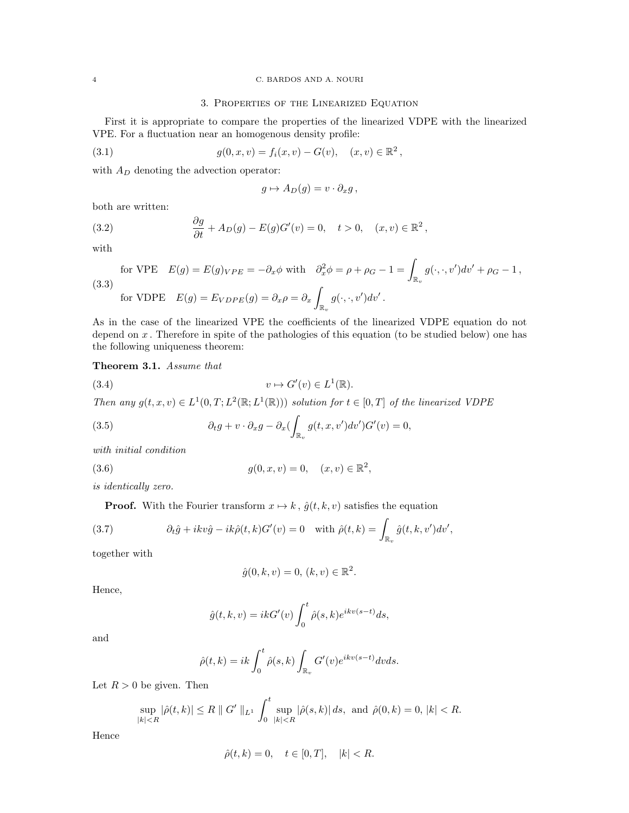## 4 C. BARDOS AND A. NOURI

## 3. Properties of the Linearized Equation

First it is appropriate to compare the properties of the linearized VDPE with the linearized VPE. For a fluctuation near an homogenous density profile:

(3.1) 
$$
g(0, x, v) = f_i(x, v) - G(v), \quad (x, v) \in \mathbb{R}^2,
$$

with  $A_D$  denoting the advection operator:

$$
g \mapsto A_D(g) = v \cdot \partial_x g \,,
$$

both are written:

(3.2) 
$$
\frac{\partial g}{\partial t} + A_D(g) - E(g)G'(v) = 0, \quad t > 0, \quad (x, v) \in \mathbb{R}^2,
$$

with

for VPE 
$$
E(g) = E(g)_{VPE} = -\partial_x \phi
$$
 with  $\partial_x^2 \phi = \rho + \rho_G - 1 = \int_{\mathbb{R}_v} g(\cdot, \cdot, v') dv' + \rho_G - 1$ ,  
\n(3.3) for VDPE  $E(g) = E_{VDFE}(g) = \partial_x \rho = \partial_x \int_{\mathbb{R}_v} g(\cdot, \cdot, v') dv'$ .

As in the case of the linearized VPE the coefficients of the linearized VDPE equation do not depend on  $x$ . Therefore in spite of the pathologies of this equation (to be studied below) one has the following uniqueness theorem:

## Theorem 3.1. Assume that

(3.4) 
$$
v \mapsto G'(v) \in L^1(\mathbb{R}).
$$

Then any  $g(t, x, v) \in L^1(0, T; L^2(\mathbb{R}; L^1(\mathbb{R})))$  solution for  $t \in [0, T]$  of the linearized VDPE

(3.5) 
$$
\partial_t g + v \cdot \partial_x g - \partial_x \left( \int_{\mathbb{R}_v} g(t, x, v') dv' \right) G'(v) = 0,
$$

with initial condition

(3.6) 
$$
g(0, x, v) = 0, \quad (x, v) \in \mathbb{R}^2,
$$

is identically zero.

**Proof.** With the Fourier transform  $x \mapsto k$ ,  $\hat{g}(t, k, v)$  satisfies the equation

(3.7) 
$$
\partial_t \hat{g} + ikv \hat{g} - ik \hat{\rho}(t, k) G'(v) = 0 \quad \text{with } \hat{\rho}(t, k) = \int_{\mathbb{R}_v} \hat{g}(t, k, v') dv',
$$

together with

$$
\hat{g}(0,k,v) = 0, (k,v) \in \mathbb{R}^2.
$$

Hence,

$$
\hat{g}(t,k,v) = ikG'(v) \int_0^t \hat{\rho}(s,k)e^{ikv(s-t)}ds,
$$

and

$$
\hat{\rho}(t,k) = ik \int_0^t \hat{\rho}(s,k) \int_{\mathbb{R}_v} G'(v) e^{ikv(s-t)} dv ds.
$$

Let  $R > 0$  be given. Then

$$
\sup_{|k|
$$

Hence

$$
\hat{\rho}(t,k) = 0, \quad t \in [0,T], \quad |k| < R.
$$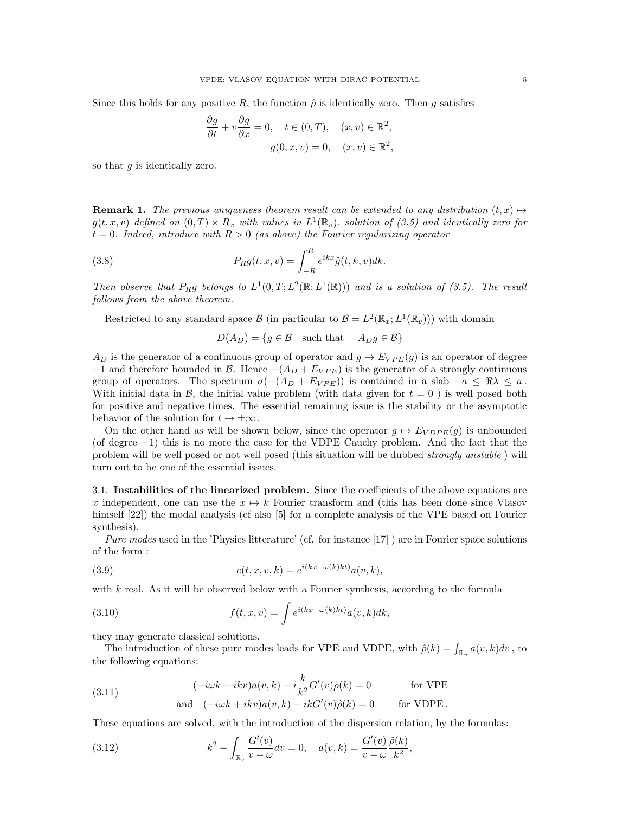Since this holds for any positive R, the function  $\hat{\rho}$  is identically zero. Then g satisfies

$$
\frac{\partial g}{\partial t} + v \frac{\partial g}{\partial x} = 0, \quad t \in (0, T), \quad (x, v) \in \mathbb{R}^2,
$$

$$
g(0, x, v) = 0, \quad (x, v) \in \mathbb{R}^2,
$$

so that  $q$  is identically zero.

**Remark 1.** The previous uniqueness theorem result can be extended to any distribution  $(t, x) \mapsto$  $g(t, x, v)$  defined on  $(0, T) \times R_x$  with values in  $L^1(\mathbb{R}_v)$ , solution of  $(3.5)$  and identically zero for  $t = 0$ . Indeed, introduce with  $R > 0$  (as above) the Fourier regularizing operator

(3.8) 
$$
P_R g(t, x, v) = \int_{-R}^{R} e^{ikx} \hat{g}(t, k, v) dk.
$$

Then observe that P<sub>R</sub>g belongs to  $L^1(0,T;L^2(\mathbb{R};L^1(\mathbb{R})))$  and is a solution of (3.5). The result follows from the above theorem.

Restricted to any standard space  $\mathcal{B}$  (in particular to  $\mathcal{B} = L^2(\mathbb{R}_x; L^1(\mathbb{R}_v))$ ) with domain

$$
D(A_D) = \{ g \in \mathcal{B} \text{ such that } A_D g \in \mathcal{B} \}
$$

 $A_D$  is the generator of a continuous group of operator and  $g \mapsto E_{VPE}(g)$  is an operator of degree  $-1$  and therefore bounded in B. Hence  $-(A_D + E_{VPE})$  is the generator of a strongly continuous group of operators. The spectrum  $\sigma(-(A_D + E_{VPE}))$  is contained in a slab  $-a \leq \Re \lambda \leq a$ . With initial data in  $\mathcal{B}$ , the initial value problem (with data given for  $t = 0$ ) is well posed both for positive and negative times. The essential remaining issue is the stability or the asymptotic behavior of the solution for  $t \to \pm \infty$ .

On the other hand as will be shown below, since the operator  $g \mapsto E_{V D P E}(g)$  is unbounded (of degree −1) this is no more the case for the VDPE Cauchy problem. And the fact that the problem will be well posed or not well posed (this situation will be dubbed strongly unstable ) will turn out to be one of the essential issues.

3.1. Instabilities of the linearized problem. Since the coefficients of the above equations are x independent, one can use the  $x \mapsto k$  Fourier transform and (this has been done since Vlasov himself  $[22]$ ) the modal analysis (cf also [5] for a complete analysis of the VPE based on Fourier synthesis).

Pure modes used in the 'Physics litterature' (cf. for instance [17] ) are in Fourier space solutions of the form :

(3.9) 
$$
e(t, x, v, k) = e^{i(kx - \omega(k)kt)} a(v, k),
$$

with  $k$  real. As it will be observed below with a Fourier synthesis, according to the formula

(3.10) 
$$
f(t,x,v) = \int e^{i(kx - \omega(k)kt)} a(v,k) dk,
$$

they may generate classical solutions.

The introduction of these pure modes leads for VPE and VDPE, with  $\hat{\rho}(k) = \int_{\mathbb{R}_v} a(v, k) dv$ , to the following equations:

(3.11) 
$$
(-i\omega k + ikv)a(v, k) - i\frac{k}{k^2}G'(v)\hat{\rho}(k) = 0 \quad \text{for VPE}
$$
  
and 
$$
(-i\omega k + ikv)a(v, k) - ikG'(v)\hat{\rho}(k) = 0 \quad \text{for VDPE}.
$$

These equations are solved, with the introduction of the dispersion relation, by the formulas:

(3.12) 
$$
k^{2} - \int_{\mathbb{R}_{v}} \frac{G'(v)}{v - \omega} dv = 0, \quad a(v, k) = \frac{G'(v)}{v - \omega} \frac{\hat{\rho}(k)}{k^{2}},
$$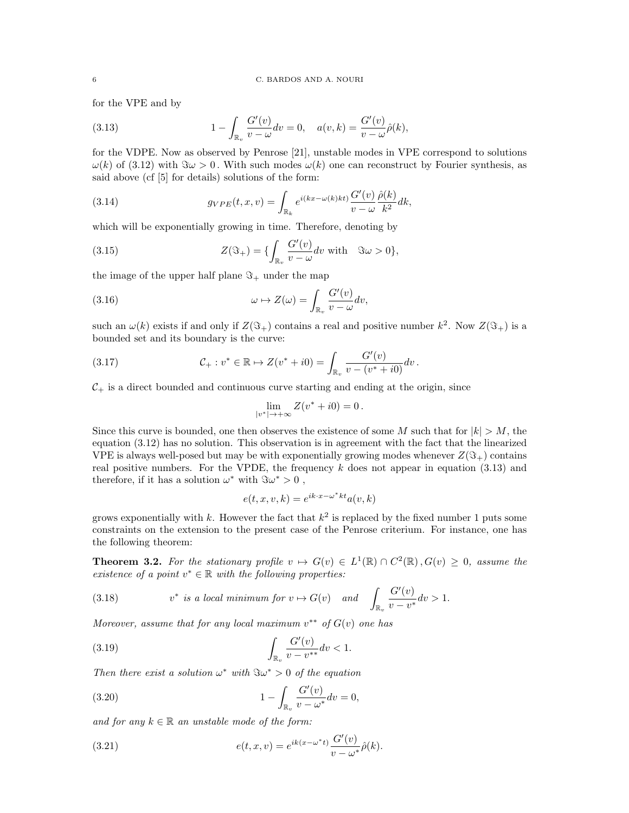for the VPE and by

(3.13) 
$$
1 - \int_{\mathbb{R}_v} \frac{G'(v)}{v - \omega} dv = 0, \quad a(v, k) = \frac{G'(v)}{v - \omega} \hat{\rho}(k),
$$

for the VDPE. Now as observed by Penrose [21], unstable modes in VPE correspond to solutions  $\omega(k)$  of (3.12) with  $\Im \omega > 0$ . With such modes  $\omega(k)$  one can reconstruct by Fourier synthesis, as said above (cf [5] for details) solutions of the form:

(3.14) 
$$
g_{VPE}(t,x,v) = \int_{\mathbb{R}_k} e^{i(kx-\omega(k)kt)} \frac{G'(v)}{v-\omega} \frac{\hat{\rho}(k)}{k^2} dk,
$$

which will be exponentially growing in time. Therefore, denoting by

(3.15) 
$$
Z(\Im_+) = \{ \int_{\mathbb{R}_v} \frac{G'(v)}{v - \omega} dv \text{ with } \Im \omega > 0 \},
$$

the image of the upper half plane  $\Im_+$  under the map

(3.16) 
$$
\omega \mapsto Z(\omega) = \int_{\mathbb{R}_v} \frac{G'(v)}{v - \omega} dv,
$$

such an  $\omega(k)$  exists if and only if  $Z(\Im_+)$  contains a real and positive number  $k^2$ . Now  $Z(\Im_+)$  is a bounded set and its boundary is the curve:

(3.17) 
$$
\mathcal{C}_+ : v^* \in \mathbb{R} \mapsto Z(v^* + i0) = \int_{\mathbb{R}_v} \frac{G'(v)}{v - (v^* + i0)} dv.
$$

 $C_{+}$  is a direct bounded and continuous curve starting and ending at the origin, since

$$
\lim_{|v^*| \to +\infty} Z(v^* + i0) = 0.
$$

Since this curve is bounded, one then observes the existence of some M such that for  $|k| > M$ , the equation (3.12) has no solution. This observation is in agreement with the fact that the linearized VPE is always well-posed but may be with exponentially growing modes whenever  $Z(\Im_+)$  contains real positive numbers. For the VPDE, the frequency  $k$  does not appear in equation (3.13) and therefore, if it has a solution  $\omega^*$  with  $\Im \omega^* > 0$ ,

$$
e(t, x, v, k) = e^{ik \cdot x - \omega^* k t} a(v, k)
$$

grows exponentially with k. However the fact that  $k^2$  is replaced by the fixed number 1 puts some constraints on the extension to the present case of the Penrose criterium. For instance, one has the following theorem:

**Theorem 3.2.** For the stationary profile  $v \mapsto G(v) \in L^1(\mathbb{R}) \cap C^2(\mathbb{R}), G(v) \geq 0$ , assume the existence of a point  $v^* \in \mathbb{R}$  with the following properties:

(3.18) 
$$
v^* \text{ is a local minimum for } v \mapsto G(v) \quad \text{and} \quad \int_{\mathbb{R}_v} \frac{G'(v)}{v - v^*} dv > 1.
$$

Moreover, assume that for any local maximum  $v^{**}$  of  $G(v)$  one has

(3.19) 
$$
\int_{\mathbb{R}_v} \frac{G'(v)}{v - v^{**}} dv < 1.
$$

Then there exist a solution  $\omega^*$  with  $\Im \omega^* > 0$  of the equation

(3.20) 
$$
1 - \int_{\mathbb{R}_v} \frac{G'(v)}{v - \omega^*} dv = 0,
$$

and for any  $k \in \mathbb{R}$  an unstable mode of the form:

(3.21) 
$$
e(t, x, v) = e^{ik(x - \omega^*t)} \frac{G'(v)}{v - \omega^*} \hat{\rho}(k).
$$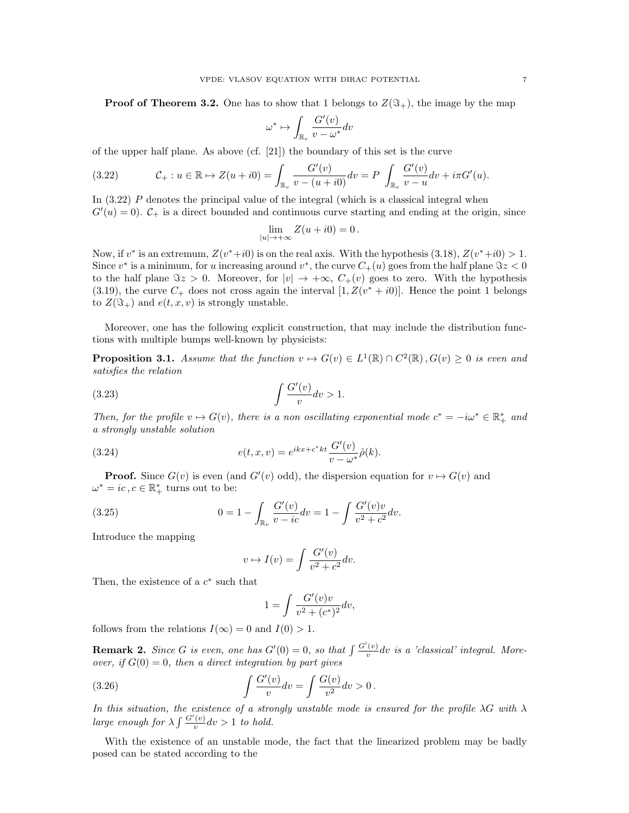**Proof of Theorem 3.2.** One has to show that 1 belongs to  $Z(\mathfrak{T}_+)$ , the image by the map

$$
\omega^* \mapsto \int_{\mathbb{R}_v} \frac{G'(v)}{v - \omega^*} dv
$$

of the upper half plane. As above (cf. [21]) the boundary of this set is the curve

$$
(3.22) \t C_+ : u \in \mathbb{R} \mapsto Z(u + i0) = \int_{\mathbb{R}_v} \frac{G'(v)}{v - (u + i0)} dv = P \int_{\mathbb{R}_v} \frac{G'(v)}{v - u} dv + i\pi G'(u).
$$

In (3.22) P denotes the principal value of the integral (which is a classical integral when  $G'(u) = 0$ ).  $C_+$  is a direct bounded and continuous curve starting and ending at the origin, since

$$
\lim_{|u| \to +\infty} Z(u + i0) = 0.
$$

Now, if  $v^*$  is an extremum,  $Z(v^*+i0)$  is on the real axis. With the hypothesis (3.18),  $Z(v^*+i0) > 1$ . Since  $v^*$  is a minimum, for u increasing around  $v^*$ , the curve  $C_+(u)$  goes from the half plane  $\Im z < 0$ to the half plane  $\Im z > 0$ . Moreover, for  $|v| \to +\infty$ ,  $C_+(v)$  goes to zero. With the hypothesis (3.19), the curve  $C_+$  does not cross again the interval  $[1, Z(v^* + i0)]$ . Hence the point 1 belongs to  $Z(\mathfrak{S}_+)$  and  $e(t, x, v)$  is strongly unstable.

Moreover, one has the following explicit construction, that may include the distribution functions with multiple bumps well-known by physicists:

**Proposition 3.1.** Assume that the function  $v \mapsto G(v) \in L^1(\mathbb{R}) \cap C^2(\mathbb{R}), G(v) \geq 0$  is even and satisfies the relation

$$
\int \frac{G'(v)}{v} dv > 1.
$$

Then, for the profile  $v \mapsto G(v)$ , there is a non oscillating exponential mode  $c^* = -i\omega^* \in \mathbb{R}_+^*$  and a strongly unstable solution

(3.24) 
$$
e(t, x, v) = e^{ikx + c^*kt} \frac{G'(v)}{v - \omega^*} \hat{\rho}(k).
$$

**Proof.** Since  $G(v)$  is even (and  $G'(v)$  odd), the dispersion equation for  $v \mapsto G(v)$  and  $\omega^* = ic, c \in \mathbb{R}_+^*$  turns out to be:

(3.25) 
$$
0 = 1 - \int_{\mathbb{R}_v} \frac{G'(v)}{v - ic} dv = 1 - \int \frac{G'(v)v}{v^2 + c^2} dv.
$$

Introduce the mapping

$$
v \mapsto I(v) = \int \frac{G'(v)}{v^2 + c^2} dv.
$$

Then, the existence of a  $c^*$  such that

$$
1 = \int \frac{G'(v)v}{v^2 + (c^*)^2} dv,
$$

follows from the relations  $I(\infty) = 0$  and  $I(0) > 1$ .

**Remark 2.** Since G is even, one has  $G'(0) = 0$ , so that  $\int \frac{G'(v)}{v}$  $\frac{v}{v}dv$  is a 'classical' integral. Moreover, if  $G(0) = 0$ , then a direct integration by part gives

(3.26) 
$$
\int \frac{G'(v)}{v} dv = \int \frac{G(v)}{v^2} dv > 0.
$$

In this situation, the existence of a strongly unstable mode is ensured for the profile  $\lambda G$  with  $\lambda$ large enough for  $\lambda \int \frac{G'(v)}{v}$  $\frac{v}{v}dv > 1$  to hold.

With the existence of an unstable mode, the fact that the linearized problem may be badly posed can be stated according to the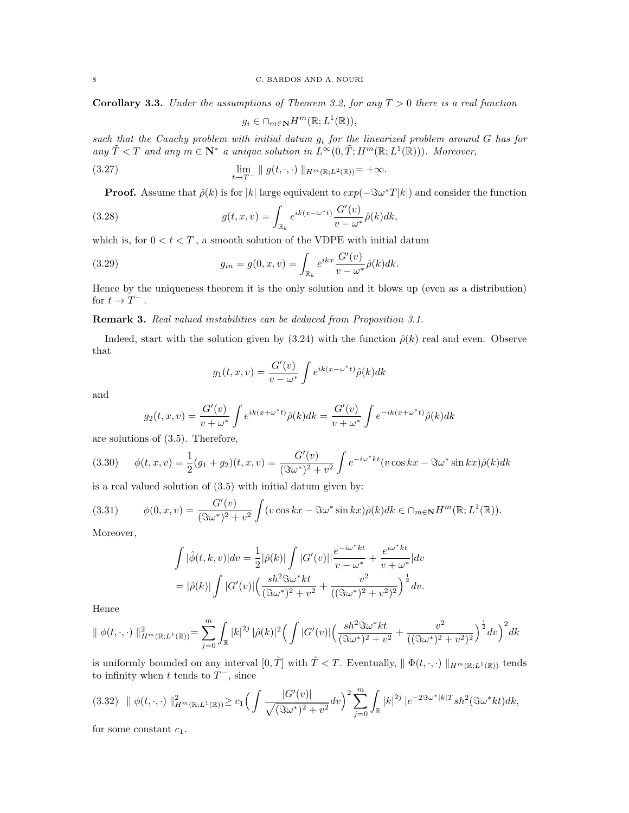**Corollary 3.3.** Under the assumptions of Theorem 3.2, for any  $T > 0$  there is a real function

$$
g_i \in \cap_{m \in \mathbf{N}} H^m(\mathbb{R}; L^1(\mathbb{R})),
$$

such that the Cauchy problem with initial datum  $g_i$  for the linearized problem around G has for any  $\tilde{T} < T$  and any  $m \in \mathbb{N}^*$  a unique solution in  $L^{\infty}(0, \tilde{T}; H^m(\mathbb{R}; L^1(\mathbb{R})))$ . Moreover,

(3.27) 
$$
\lim_{t \to T^-} \| g(t, \cdot, \cdot) \|_{H^m(\mathbb{R}; L^2(\mathbb{R}))} = +\infty.
$$

**Proof.** Assume that  $\hat{\rho}(k)$  is for |k| large equivalent to  $exp(-\Im \omega^*T|k|)$  and consider the function

(3.28) 
$$
g(t,x,v) = \int_{\mathbb{R}_k} e^{ik(x-\omega^*t)} \frac{G'(v)}{v-\omega^*} \hat{\rho}(k) dk,
$$

which is, for  $0 < t < T$ , a smooth solution of the VDPE with initial datum

(3.29) 
$$
g_{in} = g(0, x, v) = \int_{\mathbb{R}_k} e^{ikx} \frac{G'(v)}{v - \omega^*} \hat{\rho}(k) dk.
$$

Hence by the uniqueness theorem it is the only solution and it blows up (even as a distribution) for  $t \to T^-$ .

## Remark 3. Real valued instabilities can be deduced from Proposition 3.1.

Indeed, start with the solution given by  $(3.24)$  with the function  $\hat{\rho}(k)$  real and even. Observe that

$$
g_1(t, x, v) = \frac{G'(v)}{v - \omega^*} \int e^{ik(x - \omega^*t)} \hat{\rho}(k) dk
$$

and

$$
g_2(t, x, v) = \frac{G'(v)}{v + \omega^*} \int e^{ik(x + \omega^*t)} \hat{\rho}(k) dk = \frac{G'(v)}{v + \omega^*} \int e^{-ik(x + \omega^*t)} \hat{\rho}(k) dk
$$

are solutions of (3.5). Therefore,

$$
(3.30) \qquad \phi(t,x,v) = \frac{1}{2}(g_1 + g_2)(t,x,v) = \frac{G'(v)}{(\Im \omega^*)^2 + v^2} \int e^{-i\omega^*kt} (v \cos kx - \Im \omega^* \sin kx) \hat{\rho}(k) dk
$$

is a real valued solution of (3.5) with initial datum given by:

$$
(3.31) \qquad \phi(0,x,v) = \frac{G'(v)}{(\Im \omega^*)^2 + v^2} \int (v \cos kx - \Im \omega^* \sin kx) \hat{\rho}(k) dk \in \cap_{m \in \mathbb{N}} H^m(\mathbb{R}; L^1(\mathbb{R})).
$$

Moreover,

$$
\int |\hat{\phi}(t,k,v)| dv = \frac{1}{2} |\hat{\rho}(k)| \int |G'(v)| \frac{e^{-i\omega^*kt}}{v - \omega^*} + \frac{e^{i\omega^*kt}}{v + \omega^*}| dv
$$
  
=  $|\hat{\rho}(k)| \int |G'(v)| \left(\frac{sh^2 \Im \omega^*kt}{(\Im \omega^*)^2 + v^2} + \frac{v^2}{((\Im \omega^*)^2 + v^2)^2}\right)^{\frac{1}{2}} dv.$ 

Hence

$$
\| \phi(t,\cdot,\cdot) \|^2_{H^m(\mathbb{R};L^1(\mathbb{R}))} = \sum_{j=0}^m \int_{\mathbb{R}} |k|^{2j} |\hat{\rho}(k)|^2 \Big( \int |G'(v)| \Big( \frac{sh^2 \Im \omega^* kt}{(\Im \omega^*)^2 + v^2} + \frac{v^2}{((\Im \omega^*)^2 + v^2)^2} \Big)^{\frac{1}{2}} dv \Big)^2 dk
$$

is uniformly bounded on any interval  $[0, \tilde{T}]$  with  $\tilde{T} < T$ . Eventually,  $|| \Phi(t, \cdot, \cdot) ||_{H^m(\mathbb{R}; L^1(\mathbb{R}))}$  tends to infinity when t tends to  $T^-$ , since

$$
(3.32) \quad || \phi(t,\cdot,\cdot)||^2_{H^m(\mathbb{R};L^1(\mathbb{R}))} \geq c_1 \Big( \int \frac{|G'(v)|}{\sqrt{(\Im \omega^*)^2 + v^2}} dv \Big)^2 \sum_{j=0}^m \int_{\mathbb{R}} |k|^{2j} \left| e^{-2\Im \omega^* |k|} \right| s h^2(\Im \omega^* k t) dk,
$$

for some constant  $c_1$ .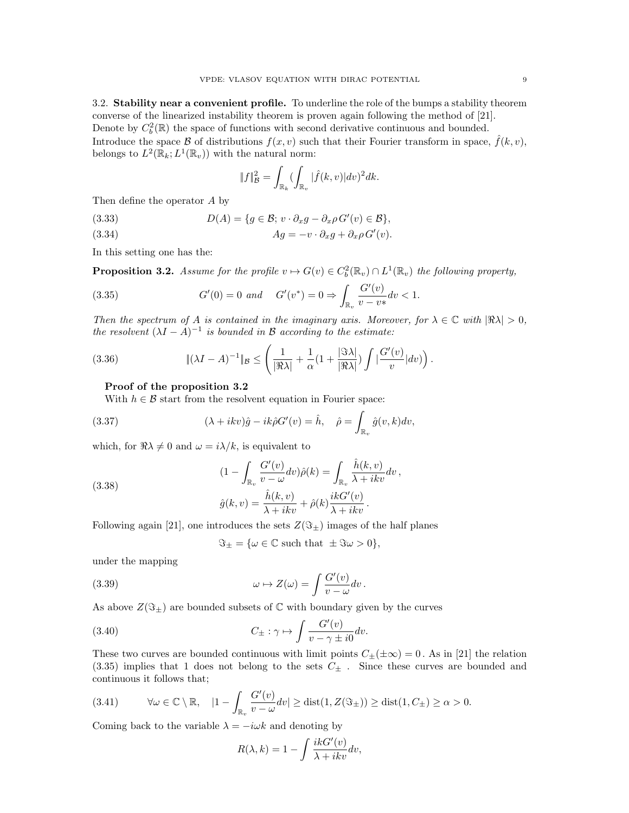3.2. Stability near a convenient profile. To underline the role of the bumps a stability theorem converse of the linearized instability theorem is proven again following the method of [21]. Denote by  $C_b^2(\mathbb{R})$  the space of functions with second derivative continuous and bounded. Introduce the space B of distributions  $f(x, v)$  such that their Fourier transform in space,  $\hat{f}(k, v)$ , belongs to  $L^2(\mathbb{R}_k; L^1(\mathbb{R}_v))$  with the natural norm:

$$
\|f\|_{\mathcal{B}}^2 = \int_{\mathbb{R}_k} (\int_{\mathbb{R}_v} |\hat{f}(k, v)| dv)^2 dk.
$$

Then define the operator A by

(3.33) 
$$
D(A) = \{g \in \mathcal{B}; v \cdot \partial_x g - \partial_x \rho G'(v) \in \mathcal{B}\},
$$

(3.34) 
$$
Ag = -v \cdot \partial_x g + \partial_x \rho G'(v).
$$

In this setting one has the:

**Proposition 3.2.** Assume for the profile  $v \mapsto G(v) \in C_b^2(\mathbb{R}_v) \cap L^1(\mathbb{R}_v)$  the following property,

(3.35) 
$$
G'(0) = 0 \text{ and } G'(v^*) = 0 \Rightarrow \int_{\mathbb{R}_v} \frac{G'(v)}{v - v^*} dv < 1.
$$

Then the spectrum of A is contained in the imaginary axis. Moreover, for  $\lambda \in \mathbb{C}$  with  $|\Re \lambda| > 0$ , the resolvent  $(\lambda I - A)^{-1}$  is bounded in B according to the estimate:

(3.36) 
$$
\|(\lambda I - A)^{-1}\|_{\mathcal{B}} \leq \left(\frac{1}{|\Re\lambda|} + \frac{1}{\alpha}(1 + \frac{|\Im\lambda|}{|\Re\lambda|}) \int \left|\frac{G'(v)}{v}\right| dv)\right).
$$

#### Proof of the proposition 3.2

With  $h \in \mathcal{B}$  start from the resolvent equation in Fourier space:

(3.37) 
$$
(\lambda + ikv)\hat{g} - ik\hat{\rho}G'(v) = \hat{h}, \quad \hat{\rho} = \int_{\mathbb{R}_v} \hat{g}(v, k)dv,
$$

which, for  $\Re \lambda \neq 0$  and  $\omega = i\lambda/k$ , is equivalent to

(3.38)  
\n
$$
(1 - \int_{\mathbb{R}_v} \frac{G'(v)}{v - \omega} dv) \hat{\rho}(k) = \int_{\mathbb{R}_v} \frac{\hat{h}(k, v)}{\lambda + ikv} dv,
$$
\n
$$
\hat{g}(k, v) = \frac{\hat{h}(k, v)}{\lambda + ikv} + \hat{\rho}(k) \frac{ikG'(v)}{\lambda + ikv}.
$$

Following again [21], one introduces the sets  $Z(\Im_{\pm})$  images of the half planes

$$
\Im_{\pm} = \{\omega \in \mathbb{C} \text{ such that } \pm \Im \omega > 0\},\
$$

under the mapping

(3.39) 
$$
\omega \mapsto Z(\omega) = \int \frac{G'(v)}{v - \omega} dv.
$$

As above  $Z(\Im_{\pm})$  are bounded subsets of C with boundary given by the curves

(3.40) 
$$
C_{\pm} : \gamma \mapsto \int \frac{G'(v)}{v - \gamma \pm i0} dv.
$$

These two curves are bounded continuous with limit points  $C_{\pm}(\pm \infty) = 0$ . As in [21] the relation  $(3.35)$  implies that 1 does not belong to the sets  $C_{\pm}$ . Since these curves are bounded and continuous it follows that;

$$
(3.41) \qquad \forall \omega \in \mathbb{C} \setminus \mathbb{R}, \quad |1 - \int_{\mathbb{R}_v} \frac{G'(v)}{v - \omega} dv| \ge \text{dist}(1, Z(\Im \pm)) \ge \text{dist}(1, C_{\pm}) \ge \alpha > 0.
$$

Coming back to the variable  $\lambda = -i\omega k$  and denoting by

$$
R(\lambda, k) = 1 - \int \frac{ikG'(v)}{\lambda + ikv} dv,
$$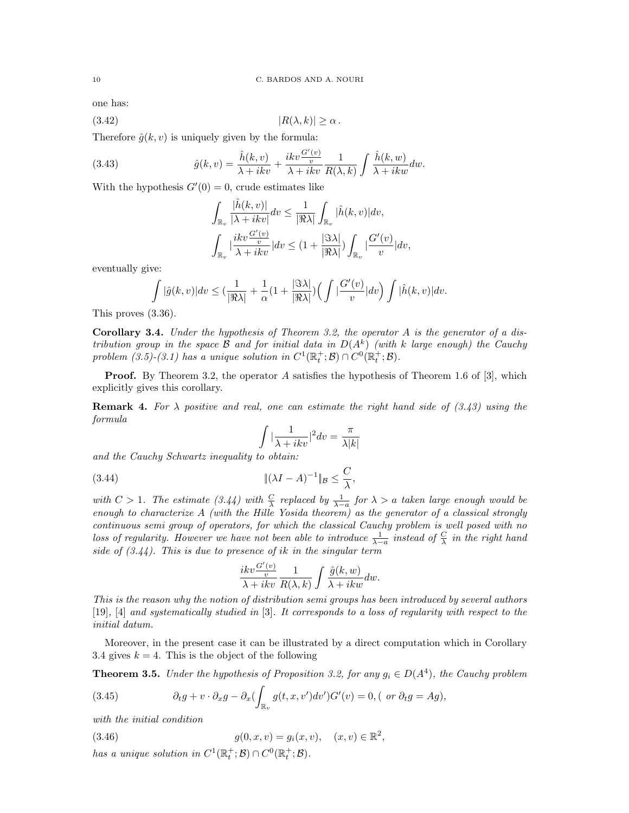one has:

$$
(3.42) \t\t\t |R(\lambda, k)| \ge \alpha.
$$

Therefore  $\hat{q}(k, v)$  is uniquely given by the formula:

(3.43) 
$$
\hat{g}(k,v) = \frac{\hat{h}(k,v)}{\lambda + ikv} + \frac{ikv \frac{G'(v)}{v}}{\lambda + ikv} \frac{1}{R(\lambda,k)} \int \frac{\hat{h}(k,w)}{\lambda + ikw} dw.
$$

With the hypothesis  $G'(0) = 0$ , crude estimates like

$$
\begin{aligned} &\int_{\mathbb{R}_v} \frac{|\hat{h}(k,v)|}{|\lambda + ikv|} dv \leq \frac{1}{|\Re \lambda|} \int_{\mathbb{R}_v} |\hat{h}(k,v)| dv, \\ &\int_{\mathbb{R}_v} \frac{ikv \frac{G'(v)}{v}}{|\lambda + ikv|} | dv \leq (1 + \frac{|\Im \lambda|}{|\Re \lambda|}) \int_{\mathbb{R}_v} |\frac{G'(v)}{v}| dv, \end{aligned}
$$

eventually give:

$$
\int |\hat{g}(k,v)|dv \leq (\frac{1}{|\Re\lambda|} + \frac{1}{\alpha}(1 + \frac{|\Im\lambda|}{|\Re\lambda|})\Big(\int |\frac{G'(v)}{v}|dv\Big) \int |\hat{h}(k,v)|dv.
$$

This proves (3.36).

**Corollary 3.4.** Under the hypothesis of Theorem 3.2, the operator A is the generator of a distribution group in the space B and for initial data in  $D(A^k)$  (with k large enough) the Cauchy problem (3.5)-(3.1) has a unique solution in  $C^1(\mathbb{R}^+_t;\mathcal{B}) \cap C^0(\mathbb{R}^+_t;\mathcal{B})$ .

Proof. By Theorem 3.2, the operator A satisfies the hypothesis of Theorem 1.6 of [3], which explicitly gives this corollary.

**Remark 4.** For  $\lambda$  positive and real, one can estimate the right hand side of (3.43) using the formula

$$
\int |\frac{1}{\lambda + ikv}|^2 dv = \frac{\pi}{\lambda |k|}
$$

and the Cauchy Schwartz inequality to obtain:

$$
|(3.44)\qquad \qquad \|\left(\lambda I - A\right)^{-1}\|_{\mathcal{B}} \le \frac{C}{\lambda},
$$

with  $C > 1$ . The estimate (3.44) with  $\frac{C}{\lambda}$  replaced by  $\frac{1}{\lambda - a}$  for  $\lambda > a$  taken large enough would be enough to characterize A (with the Hille Yosida theorem) as the generator of a classical strongly continuous semi group of operators, for which the classical Cauchy problem is well posed with no loss of regularity. However we have not been able to introduce  $\frac{1}{\lambda-a}$  instead of  $\frac{C}{\lambda}$  in the right hand side of  $(3.44)$ . This is due to presence of ik in the singular term

$$
\frac{ikv\frac{G'(v)}{v}}{\lambda + ikv}\, \frac{1}{R(\lambda, k)}\int \frac{\hat g(k, w)}{\lambda + ikw}dw.
$$

This is the reason why the notion of distribution semi groups has been introduced by several authors [19], [4] and systematically studied in [3]. It corresponds to a loss of regularity with respect to the initial datum.

Moreover, in the present case it can be illustrated by a direct computation which in Corollary 3.4 gives  $k = 4$ . This is the object of the following

**Theorem 3.5.** Under the hypothesis of Proposition 3.2, for any  $g_i \in D(A^4)$ , the Cauchy problem

(3.45) 
$$
\partial_t g + v \cdot \partial_x g - \partial_x \left( \int_{\mathbb{R}_v} g(t, x, v') dv' \right) G'(v) = 0, \text{ ( or } \partial_t g = Ag),
$$

with the initial condition

(3.46) 
$$
g(0, x, v) = g_i(x, v), \quad (x, v) \in \mathbb{R}^2,
$$

has a unique solution in  $C^1(\mathbb{R}^+_t;\mathcal{B})\cap C^0(\mathbb{R}^+_t;\mathcal{B})$ .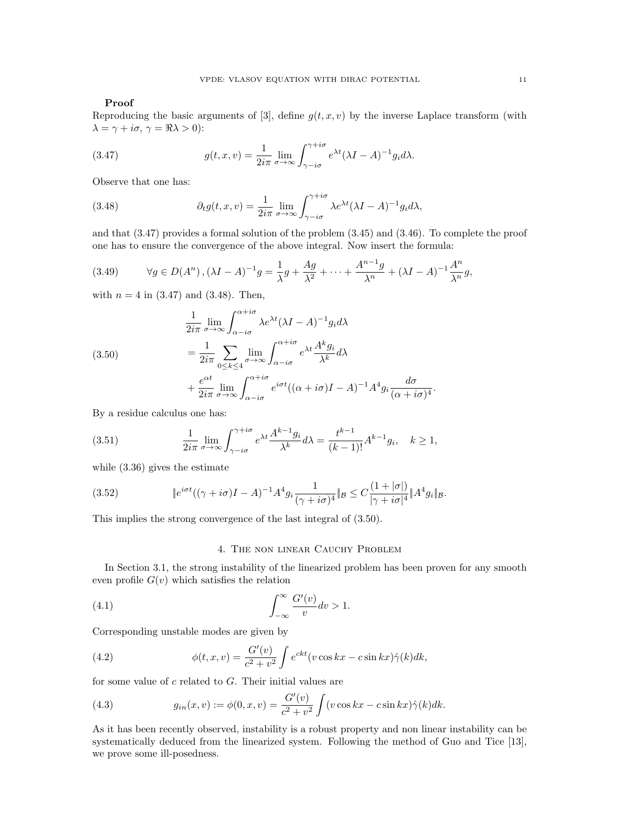## Proof

Reproducing the basic arguments of [3], define  $g(t, x, v)$  by the inverse Laplace transform (with  $\lambda = \gamma + i\sigma, \, \gamma = \Re \lambda > 0$ :

(3.47) 
$$
g(t, x, v) = \frac{1}{2i\pi} \lim_{\sigma \to \infty} \int_{\gamma - i\sigma}^{\gamma + i\sigma} e^{\lambda t} (\lambda I - A)^{-1} g_i d\lambda.
$$

Observe that one has:

(3.48) 
$$
\partial_t g(t, x, v) = \frac{1}{2i\pi} \lim_{\sigma \to \infty} \int_{\gamma - i\sigma}^{\gamma + i\sigma} \lambda e^{\lambda t} (\lambda I - A)^{-1} g_i d\lambda,
$$

and that (3.47) provides a formal solution of the problem (3.45) and (3.46). To complete the proof one has to ensure the convergence of the above integral. Now insert the formula:

(3.49) 
$$
\forall g \in D(A^n), (\lambda I - A)^{-1}g = \frac{1}{\lambda}g + \frac{Ag}{\lambda^2} + \dots + \frac{A^{n-1}g}{\lambda^n} + (\lambda I - A)^{-1}\frac{A^n}{\lambda^n}g,
$$

with  $n = 4$  in (3.47) and (3.48). Then,

(3.50)  
\n
$$
\frac{1}{2i\pi} \lim_{\sigma \to \infty} \int_{\alpha - i\sigma}^{\alpha + i\sigma} \lambda e^{\lambda t} (\lambda I - A)^{-1} g_i d\lambda
$$
\n
$$
= \frac{1}{2i\pi} \sum_{0 \le k \le 4} \lim_{\sigma \to \infty} \int_{\alpha - i\sigma}^{\alpha + i\sigma} e^{\lambda t} \frac{A^k g_i}{\lambda^k} d\lambda
$$
\n
$$
+ \frac{e^{\alpha t}}{2i\pi} \lim_{\sigma \to \infty} \int_{\alpha - i\sigma}^{\alpha + i\sigma} e^{i\sigma t} ((\alpha + i\sigma)I - A)^{-1} A^4 g_i \frac{d\sigma}{(\alpha + i\sigma)^4}.
$$

By a residue calculus one has:

(3.51) 
$$
\frac{1}{2i\pi} \lim_{\sigma \to \infty} \int_{\gamma - i\sigma}^{\gamma + i\sigma} e^{\lambda t} \frac{A^{k-1} g_i}{\lambda^k} d\lambda = \frac{t^{k-1}}{(k-1)!} A^{k-1} g_i, \quad k \ge 1,
$$

while (3.36) gives the estimate

(3.52) 
$$
\|e^{i\sigma t}((\gamma + i\sigma)I - A)^{-1}A^4g_i\frac{1}{(\gamma + i\sigma)^4}\|_{\mathcal{B}} \leq C\frac{(1+|\sigma|)}{|\gamma + i\sigma|^4}\|A^4g_i\|_{\mathcal{B}}.
$$

This implies the strong convergence of the last integral of (3.50).

## 4. The non linear Cauchy Problem

In Section 3.1, the strong instability of the linearized problem has been proven for any smooth even profile  $G(v)$  which satisfies the relation

(4.1) 
$$
\int_{-\infty}^{\infty} \frac{G'(v)}{v} dv > 1.
$$

Corresponding unstable modes are given by

(4.2) 
$$
\phi(t, x, v) = \frac{G'(v)}{c^2 + v^2} \int e^{ckt} (v \cos kx - c \sin kx) \hat{\gamma}(k) dk,
$$

for some value of  $c$  related to  $G$ . Their initial values are

(4.3) 
$$
g_{in}(x,v) := \phi(0,x,v) = \frac{G'(v)}{c^2 + v^2} \int (v \cos kx - c \sin kx) \hat{\gamma}(k) dk.
$$

As it has been recently observed, instability is a robust property and non linear instability can be systematically deduced from the linearized system. Following the method of Guo and Tice [13], we prove some ill-posedness.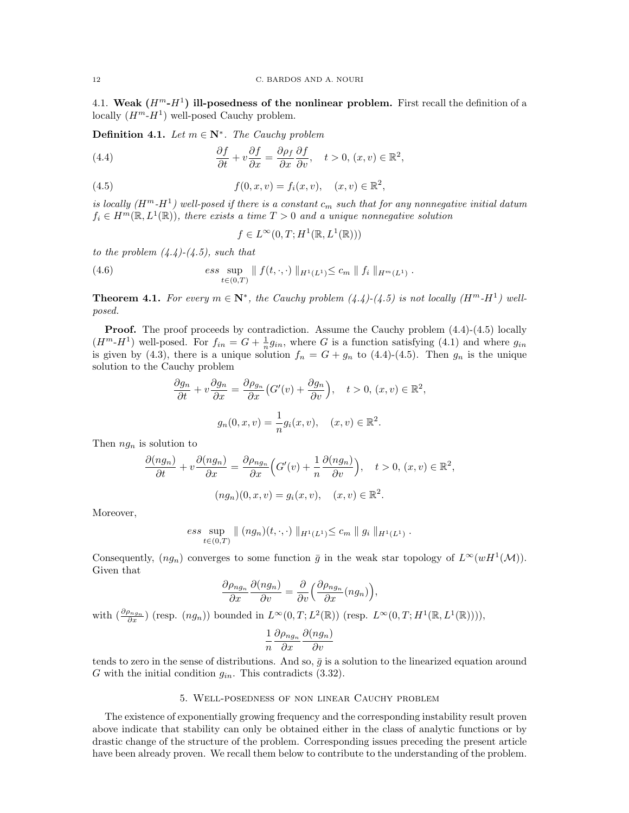4.1. Weak  $(H^m - H^1)$  ill-posedness of the nonlinear problem. First recall the definition of a locally  $(H^m - H^1)$  well-posed Cauchy problem.

**Definition 4.1.** Let  $m \in \mathbb{N}^*$ . The Cauchy problem

(4.4) 
$$
\frac{\partial f}{\partial t} + v \frac{\partial f}{\partial x} = \frac{\partial \rho_f}{\partial x} \frac{\partial f}{\partial v}, \quad t > 0, (x, v) \in \mathbb{R}^2,
$$

(4.5) 
$$
f(0, x, v) = f_i(x, v), \quad (x, v) \in \mathbb{R}^2,
$$

is locally  $(H^m - H^1)$  well-posed if there is a constant  $c_m$  such that for any nonnegative initial datum  $f_i \in H^m(\mathbb{R}, L^1(\mathbb{R}))$ , there exists a time  $T > 0$  and a unique nonnegative solution

$$
f \in L^{\infty}(0, T; H^1(\mathbb{R}, L^1(\mathbb{R})))
$$

to the problem  $(4.4)-(4.5)$ , such that

(4.6) 
$$
\text{ess} \sup_{t \in (0,T)} \| f(t,\cdot,\cdot) \|_{H^1(L^1)} \leq c_m \| f_i \|_{H^m(L^1)}.
$$

**Theorem 4.1.** For every  $m \in \mathbb{N}^*$ , the Cauchy problem  $(4.4)-(4.5)$  is not locally  $(H^m-H^1)$  wellposed.

**Proof.** The proof proceeds by contradiction. Assume the Cauchy problem  $(4.4)-(4.5)$  locally  $(H<sup>m</sup>-H<sup>1</sup>)$  well-posed. For  $f_{in} = G + \frac{1}{n}g_{in}$ , where G is a function satisfying (4.1) and where  $g_{in}$ is given by (4.3), there is a unique solution  $f_n = G + g_n$  to (4.4)-(4.5). Then  $g_n$  is the unique solution to the Cauchy problem

$$
\frac{\partial g_n}{\partial t} + v \frac{\partial g_n}{\partial x} = \frac{\partial \rho_{g_n}}{\partial x} \left( G'(v) + \frac{\partial g_n}{\partial v} \right), \quad t > 0, (x, v) \in \mathbb{R}^2,
$$

$$
g_n(0, x, v) = \frac{1}{n} g_i(x, v), \quad (x, v) \in \mathbb{R}^2.
$$

Then  $ng_n$  is solution to

$$
\frac{\partial(ng_n)}{\partial t} + v \frac{\partial(ng_n)}{\partial x} = \frac{\partial \rho_{ng_n}}{\partial x} \Big( G'(v) + \frac{1}{n} \frac{\partial(ng_n)}{\partial v} \Big), \quad t > 0, \ (x, v) \in \mathbb{R}^2,
$$

$$
(ng_n)(0, x, v) = g_i(x, v), \quad (x, v) \in \mathbb{R}^2.
$$

Moreover,

ess sup 
$$
\| (ng_n)(t, \cdot, \cdot) \|_{H^1(L^1)} \leq c_m \| g_i \|_{H^1(L^1)}.
$$

Consequently,  $(ng_n)$  converges to some function  $\bar{g}$  in the weak star topology of  $L^{\infty}(wH^1(\mathcal{M}))$ . Given that

$$
\frac{\partial \rho_{ng_n}}{\partial x}\frac{\partial (ng_n)}{\partial v}=\frac{\partial}{\partial v}\Big(\frac{\partial \rho_{ng_n}}{\partial x}(ng_n)\Big),
$$

with  $\left(\frac{\partial \rho_{ng_n}}{\partial x}\right)$  (resp.  $(ng_n)$ ) bounded in  $L^{\infty}(0,T;L^2(\mathbb{R}))$  (resp.  $L^{\infty}(0,T;H^1(\mathbb{R},L^1(\mathbb{R}))))$ ),

$$
\frac{1}{n} \frac{\partial \rho_{ng_n}}{\partial x} \frac{\partial (ng_n)}{\partial v}
$$

tends to zero in the sense of distributions. And so,  $\bar{q}$  is a solution to the linearized equation around G with the initial condition  $g_{in}$ . This contradicts (3.32).

## 5. Well-posedness of non linear Cauchy problem

The existence of exponentially growing frequency and the corresponding instability result proven above indicate that stability can only be obtained either in the class of analytic functions or by drastic change of the structure of the problem. Corresponding issues preceding the present article have been already proven. We recall them below to contribute to the understanding of the problem.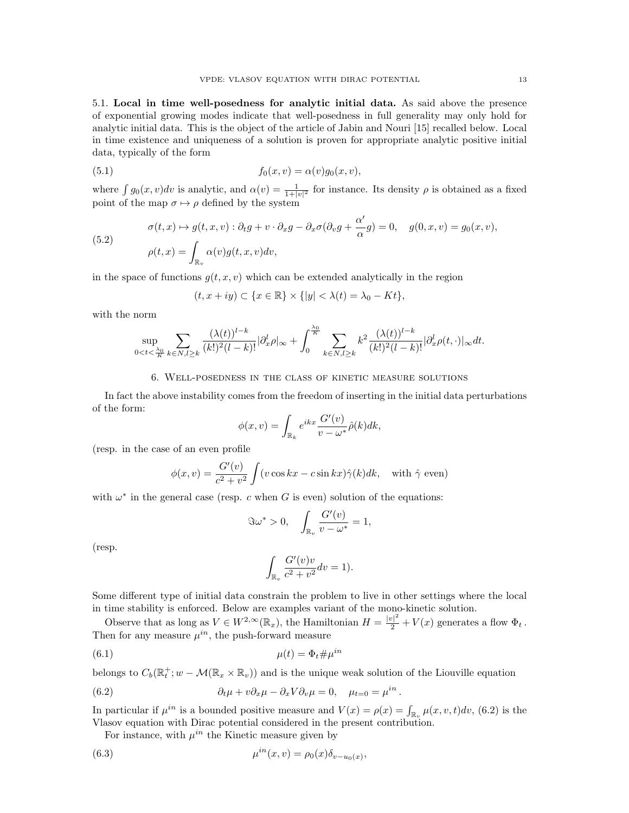5.1. Local in time well-posedness for analytic initial data. As said above the presence of exponential growing modes indicate that well-posedness in full generality may only hold for analytic initial data. This is the object of the article of Jabin and Nouri [15] recalled below. Local in time existence and uniqueness of a solution is proven for appropriate analytic positive initial data, typically of the form

(5.1) 
$$
f_0(x,v) = \alpha(v)g_0(x,v),
$$

where  $\int g_0(x, v)dv$  is analytic, and  $\alpha(v) = \frac{1}{1+|v|^2}$  for instance. Its density  $\rho$  is obtained as a fixed point of the map  $\sigma \mapsto \rho$  defined by the system

(5.2)  
\n
$$
\sigma(t,x) \mapsto g(t,x,v) : \partial_t g + v \cdot \partial_x g - \partial_x \sigma (\partial_v g + \frac{\alpha'}{\alpha} g) = 0, \quad g(0,x,v) = g_0(x,v),
$$
\n
$$
\rho(t,x) = \int_{\mathbb{R}_v} \alpha(v) g(t,x,v) dv,
$$

in the space of functions  $g(t, x, v)$  which can be extended analytically in the region

$$
(t, x+iy) \subset \{x \in \mathbb{R}\} \times \{|y| < \lambda(t) = \lambda_0 - Kt\},\
$$

with the norm

$$
\sup_{0
$$

## 6. Well-posedness in the class of kinetic measure solutions

In fact the above instability comes from the freedom of inserting in the initial data perturbations of the form:

$$
\phi(x,v) = \int_{\mathbb{R}_k} e^{ikx} \frac{G'(v)}{v - \omega^*} \hat{\rho}(k) dk,
$$

(resp. in the case of an even profile

$$
\phi(x,v) = \frac{G'(v)}{c^2 + v^2} \int (v \cos kx - c \sin kx) \hat{\gamma}(k) dk, \text{ with } \hat{\gamma} \text{ even})
$$

with  $\omega^*$  in the general case (resp. c when G is even) solution of the equations:

$$
\Im \omega^* > 0, \quad \int_{\mathbb{R}_v} \frac{G'(v)}{v - \omega^*} = 1,
$$

(resp.

$$
\int_{\mathbb{R}_v} \frac{G'(v)v}{c^2 + v^2} dv = 1).
$$

Some different type of initial data constrain the problem to live in other settings where the local in time stability is enforced. Below are examples variant of the mono-kinetic solution.

Observe that as long as  $V \in W^{2,\infty}(\mathbb{R}_x)$ , the Hamiltonian  $H = \frac{|v|^2}{2} + V(x)$  generates a flow  $\Phi_t$ . Then for any measure  $\mu^{in}$ , the push-forward measure

$$
\mu(t) = \Phi_t \# \mu^{in}
$$

belongs to  $C_b(\mathbb{R}_t^+; w - \mathcal{M}(\mathbb{R}_x \times \mathbb{R}_v))$  and is the unique weak solution of the Liouville equation

(6.2) 
$$
\partial_t \mu + v \partial_x \mu - \partial_x V \partial_v \mu = 0, \quad \mu_{t=0} = \mu^{in}.
$$

In particular if  $\mu^{in}$  is a bounded positive measure and  $V(x) = \rho(x) = \int_{\mathbb{R}_v} \mu(x, v, t) dv$ , (6.2) is the Vlasov equation with Dirac potential considered in the present contribution.

For instance, with  $\mu^{in}$  the Kinetic measure given by

(6.3) 
$$
\mu^{in}(x,v) = \rho_0(x)\delta_{v-u_0(x)},
$$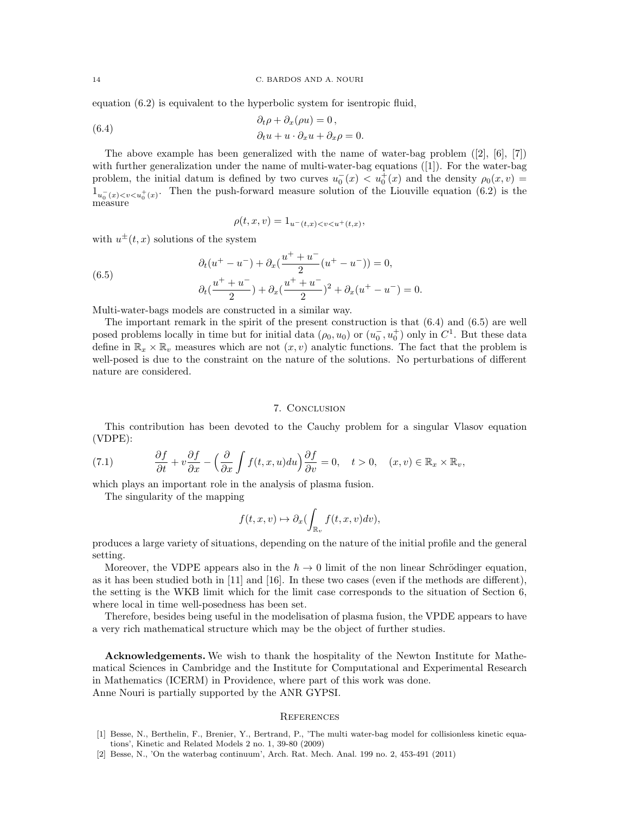equation (6.2) is equivalent to the hyperbolic system for isentropic fluid,

(6.4) 
$$
\begin{aligned}\n\partial_t \rho + \partial_x (\rho u) &= 0, \\
\partial_t u + u \cdot \partial_x u + \partial_x \rho &= 0.\n\end{aligned}
$$

The above example has been generalized with the name of water-bag problem  $([2], [6], [7])$ with further generalization under the name of multi-water-bag equations ([1]). For the water-bag problem, the initial datum is defined by two curves  $u_0^-(x) < u_0^+(x)$  and the density  $\rho_0(x, v) =$  $1_{u_0^-(x). Then the push-forward measure solution of the Liouville equation (6.2) is the$ measure

$$
\rho(t, x, v) = 1_{u^-(t, x) < v < u^+(t, x)},
$$

with  $u^{\pm}(t, x)$  solutions of the system

(6.5) 
$$
\partial_t (u^+ - u^-) + \partial_x (\frac{u^+ + u^-}{2} (u^+ - u^-)) = 0,
$$

$$
\partial_t (\frac{u^+ + u^-}{2}) + \partial_x (\frac{u^+ + u^-}{2})^2 + \partial_x (u^+ - u^-) = 0.
$$

Multi-water-bags models are constructed in a similar way.

The important remark in the spirit of the present construction is that (6.4) and (6.5) are well posed problems locally in time but for initial data  $(\rho_0, u_0)$  or  $(u_0^-, u_0^+)$  only in  $C^1$ . But these data define in  $\mathbb{R}_x \times \mathbb{R}_v$  measures which are not  $(x, v)$  analytic functions. The fact that the problem is well-posed is due to the constraint on the nature of the solutions. No perturbations of different nature are considered.

#### 7. Conclusion

This contribution has been devoted to the Cauchy problem for a singular Vlasov equation (VDPE):

(7.1) 
$$
\frac{\partial f}{\partial t} + v \frac{\partial f}{\partial x} - \left(\frac{\partial}{\partial x} \int f(t, x, u) du\right) \frac{\partial f}{\partial v} = 0, \quad t > 0, \quad (x, v) \in \mathbb{R}_x \times \mathbb{R}_v,
$$

which plays an important role in the analysis of plasma fusion.

The singularity of the mapping

$$
f(t, x, v) \mapsto \partial_x \bigl( \int_{\mathbb{R}_v} f(t, x, v) dv \bigr),
$$

produces a large variety of situations, depending on the nature of the initial profile and the general setting.

Moreover, the VDPE appears also in the  $\hbar \to 0$  limit of the non linear Schrödinger equation, as it has been studied both in [11] and [16]. In these two cases (even if the methods are different), the setting is the WKB limit which for the limit case corresponds to the situation of Section 6, where local in time well-posedness has been set.

Therefore, besides being useful in the modelisation of plasma fusion, the VPDE appears to have a very rich mathematical structure which may be the object of further studies.

Acknowledgements. We wish to thank the hospitality of the Newton Institute for Mathematical Sciences in Cambridge and the Institute for Computational and Experimental Research in Mathematics (ICERM) in Providence, where part of this work was done. Anne Nouri is partially supported by the ANR GYPSI.

#### **REFERENCES**

- [1] Besse, N., Berthelin, F., Brenier, Y., Bertrand, P., 'The multi water-bag model for collisionless kinetic equations', Kinetic and Related Models 2 no. 1, 39-80 (2009)
- [2] Besse, N., 'On the waterbag continuum', Arch. Rat. Mech. Anal. 199 no. 2, 453-491 (2011)